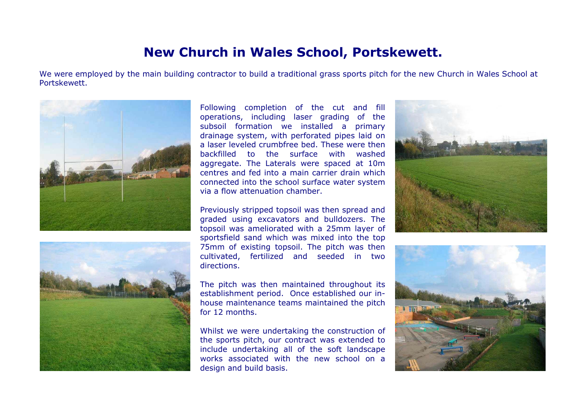## **New Church in Wales School, Portskewett.**

We were employed by the main building contractor to build a traditional grass sports pitch for the new Church in Wales School at Portskewett.





Following completion of the cut and fill operations, including laser grading of the subsoil formation we installed a primary drainage system, with perforated pipes laid on a laser leveled crumbfree bed. These were thenbackfilled to the surface with washedaggregate. The Laterals were spaced at 10m centres and fed into a main carrier drain whichconnected into the school surface water system via a flow attenuation chamber.

Previously stripped topsoil was then spread and graded using excavators and bulldozers. The topsoil was ameliorated with a 25mm layer of sportsfield sand which was mixed into the top 75mm of existing topsoil. The pitch was then cultivated, fertilized and seeded in two directions.

The pitch was then maintained throughout its establishment period. Once established our inhouse maintenance teams maintained the pitch for 12 months.

Whilst we were undertaking the construction of the sports pitch, our contract was extended to include undertaking all of the soft landscape works associated with the new school on adesign and build basis.